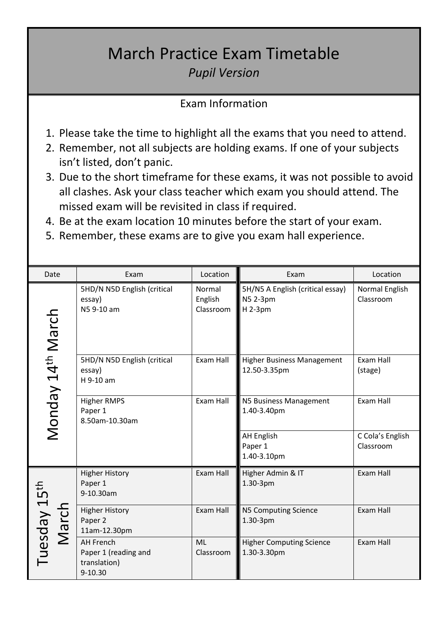## March Practice Exam Timetable *Pupil Version*

## Exam Information

- 1. Please take the time to highlight all the exams that you need to attend.
- 2. Remember, not all subjects are holding exams. If one of your subjects isn't listed, don't panic.
- 3. Due to the short timeframe for these exams, it was not possible to avoid all clashes. Ask your class teacher which exam you should attend. The missed exam will be revisited in class if required.
- 4. Be at the exam location 10 minutes before the start of your exam.
- 5. Remember, these exams are to give you exam hall experience.

| Date                              | Exam                                                                    | Location                       | Exam                                                    | Location                      |
|-----------------------------------|-------------------------------------------------------------------------|--------------------------------|---------------------------------------------------------|-------------------------------|
| Monday 14 <sup>th</sup> March     | 5HD/N N5D English (critical<br>essay)<br>N59-10 am                      | Normal<br>English<br>Classroom | 5H/N5 A English (critical essay)<br>N5 2-3pm<br>H 2-3pm | Normal English<br>Classroom   |
|                                   | 5HD/N N5D English (critical<br>essay)<br>H 9-10 am                      | Exam Hall                      | <b>Higher Business Management</b><br>12.50-3.35pm       | Exam Hall<br>(stage)          |
|                                   | <b>Higher RMPS</b><br>Paper 1<br>8.50am-10.30am                         | Exam Hall                      | N5 Business Management<br>1.40-3.40pm                   | Exam Hall                     |
|                                   |                                                                         |                                | <b>AH English</b><br>Paper 1<br>1.40-3.10pm             | C Cola's English<br>Classroom |
| Tuesday 15 <sup>th</sup><br>March | <b>Higher History</b><br>Paper 1<br>9-10.30am                           | Exam Hall                      | Higher Admin & IT<br>1.30-3pm                           | Exam Hall                     |
|                                   | <b>Higher History</b><br>Paper 2<br>11am-12.30pm                        | Exam Hall                      | N5 Computing Science<br>1.30-3pm                        | Exam Hall                     |
|                                   | <b>AH French</b><br>Paper 1 (reading and<br>translation)<br>$9 - 10.30$ | <b>ML</b><br>Classroom         | <b>Higher Computing Science</b><br>1.30-3.30pm          | Exam Hall                     |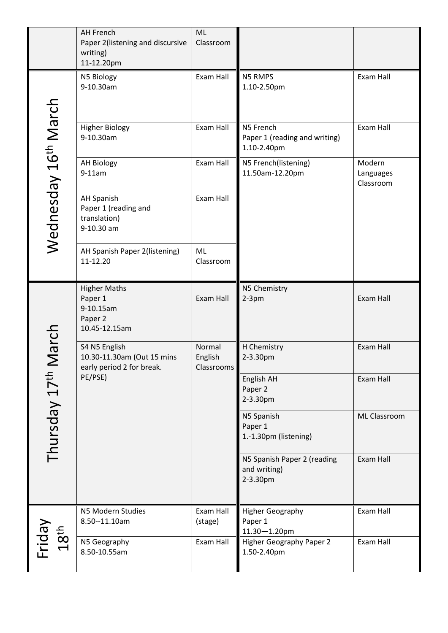|                                       | <b>AH French</b><br>Paper 2(listening and discursive<br>writing)<br>11-12.20pm | <b>ML</b><br>Classroom          |                                                           |                                  |
|---------------------------------------|--------------------------------------------------------------------------------|---------------------------------|-----------------------------------------------------------|----------------------------------|
|                                       | N5 Biology<br>9-10.30am                                                        | Exam Hall                       | N5 RMPS<br>1.10-2.50pm                                    | Exam Hall                        |
| Wednesday 16 <sup>th</sup> March      | <b>Higher Biology</b><br>9-10.30am                                             | Exam Hall                       | N5 French<br>Paper 1 (reading and writing)<br>1.10-2.40pm | Exam Hall                        |
|                                       | <b>AH Biology</b><br>$9-11am$                                                  | Exam Hall                       | N5 French(listening)<br>11.50am-12.20pm                   | Modern<br>Languages<br>Classroom |
|                                       | <b>AH Spanish</b><br>Paper 1 (reading and<br>translation)<br>9-10.30 am        | Exam Hall                       |                                                           |                                  |
| Vlarch<br>Thursday 17 <sup>th</sup> N | AH Spanish Paper 2(listening)<br>11-12.20                                      | ML<br>Classroom                 |                                                           |                                  |
|                                       | <b>Higher Maths</b><br>Paper 1<br>9-10.15am<br>Paper 2<br>10.45-12.15am        | Exam Hall                       | N5 Chemistry<br>$2-3pm$                                   | Exam Hall                        |
|                                       | S4 N5 English<br>10.30-11.30am (Out 15 mins<br>early period 2 for break.       | Normal<br>English<br>Classrooms | H Chemistry<br>2-3.30pm                                   | Exam Hall                        |
|                                       | PE/PSE)                                                                        |                                 | English AH<br>Paper 2<br>2-3.30pm                         | Exam Hall                        |
|                                       |                                                                                |                                 | N5 Spanish<br>Paper 1<br>1.-1.30pm (listening)            | ML Classroom                     |
|                                       |                                                                                |                                 | N5 Spanish Paper 2 (reading<br>and writing)<br>2-3.30pm   | Exam Hall                        |
|                                       | N5 Modern Studies<br>8.50--11.10am                                             | Exam Hall<br>(stage)            | <b>Higher Geography</b><br>Paper 1<br>$11.30 - 1.20$ pm   | Exam Hall                        |
| Friday<br>18 <sup>th</sup>            | N5 Geography<br>8.50-10.55am                                                   | Exam Hall                       | <b>Higher Geography Paper 2</b><br>1.50-2.40pm            | Exam Hall                        |